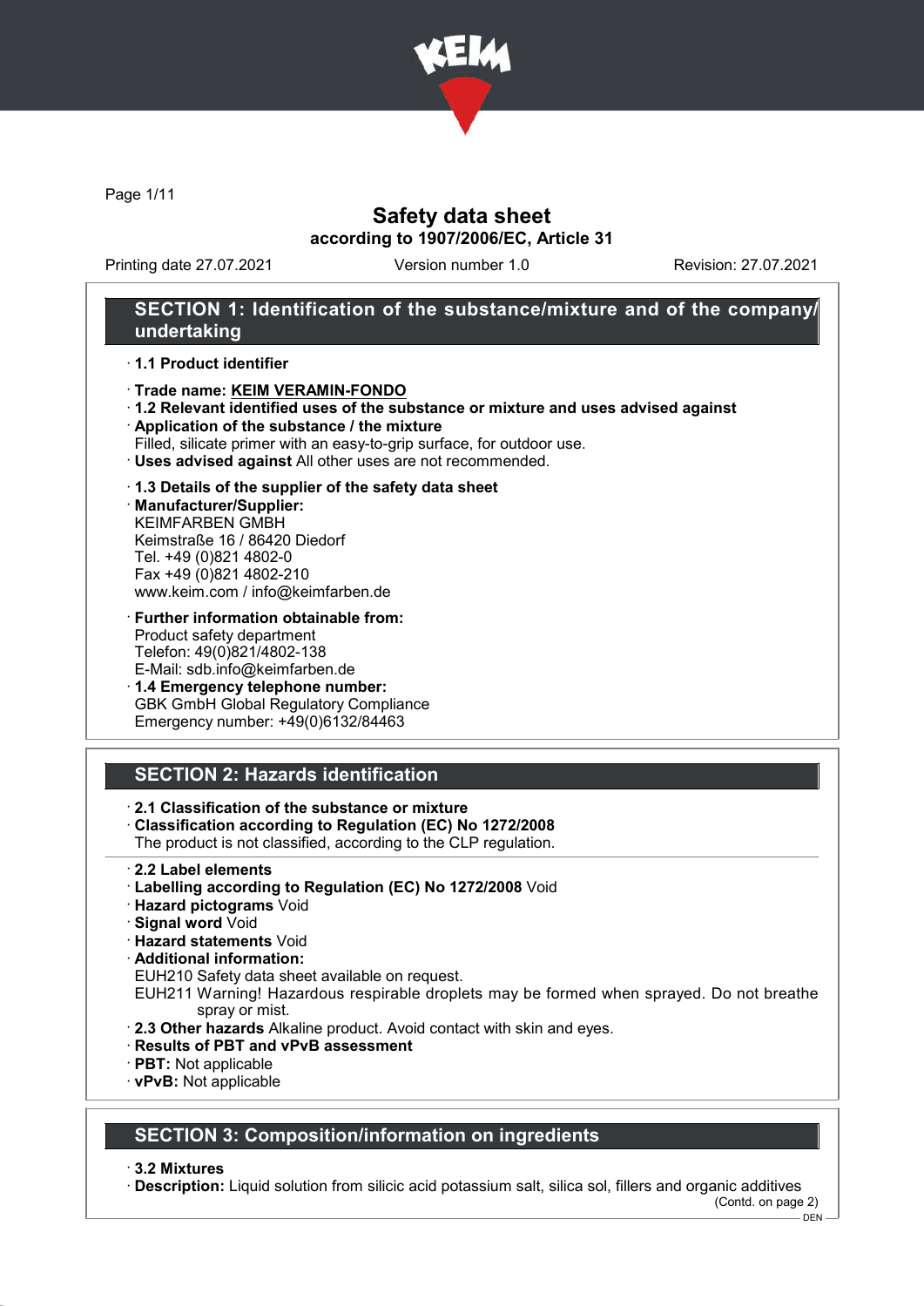

Page 1/11

# Safety data sheet according to 1907/2006/EC, Article 31

Printing date 27.07.2021 Version number 1.0 Revision: 27.07.2021

# SECTION 1: Identification of the substance/mixture and of the company/ undertaking

## · 1.1 Product identifier

#### · Trade name: KEIM VERAMIN-FONDO

- · 1.2 Relevant identified uses of the substance or mixture and uses advised against
- · Application of the substance / the mixture
- Filled, silicate primer with an easy-to-grip surface, for outdoor use.
- · Uses advised against All other uses are not recommended.

## · 1.3 Details of the supplier of the safety data sheet

· Manufacturer/Supplier: KEIMFARBEN GMBH Keimstraße 16 / 86420 Diedorf Tel. +49 (0)821 4802-0 Fax +49 (0)821 4802-210 www.keim.com / info@keimfarben.de

· Further information obtainable from: Product safety department Telefon: 49(0)821/4802-138 E-Mail: sdb.info@keimfarben.de

· 1.4 Emergency telephone number: GBK GmbH Global Regulatory Compliance Emergency number: +49(0)6132/84463

# SECTION 2: Hazards identification

## · 2.1 Classification of the substance or mixture

- · Classification according to Regulation (EC) No 1272/2008
- The product is not classified, according to the CLP regulation.
- · 2.2 Label elements
- · Labelling according to Regulation (EC) No 1272/2008 Void
- · Hazard pictograms Void
- · Signal word Void
- · Hazard statements Void
- · Additional information:
- EUH210 Safety data sheet available on request.
- EUH211 Warning! Hazardous respirable droplets may be formed when sprayed. Do not breathe spray or mist.
- · 2.3 Other hazards Alkaline product. Avoid contact with skin and eyes.
- · Results of PBT and vPvB assessment
- · PBT: Not applicable
- · vPvB: Not applicable

## SECTION 3: Composition/information on ingredients

· 3.2 Mixtures

· Description: Liquid solution from silicic acid potassium salt, silica sol, fillers and organic additives (Contd. on page 2)

DEN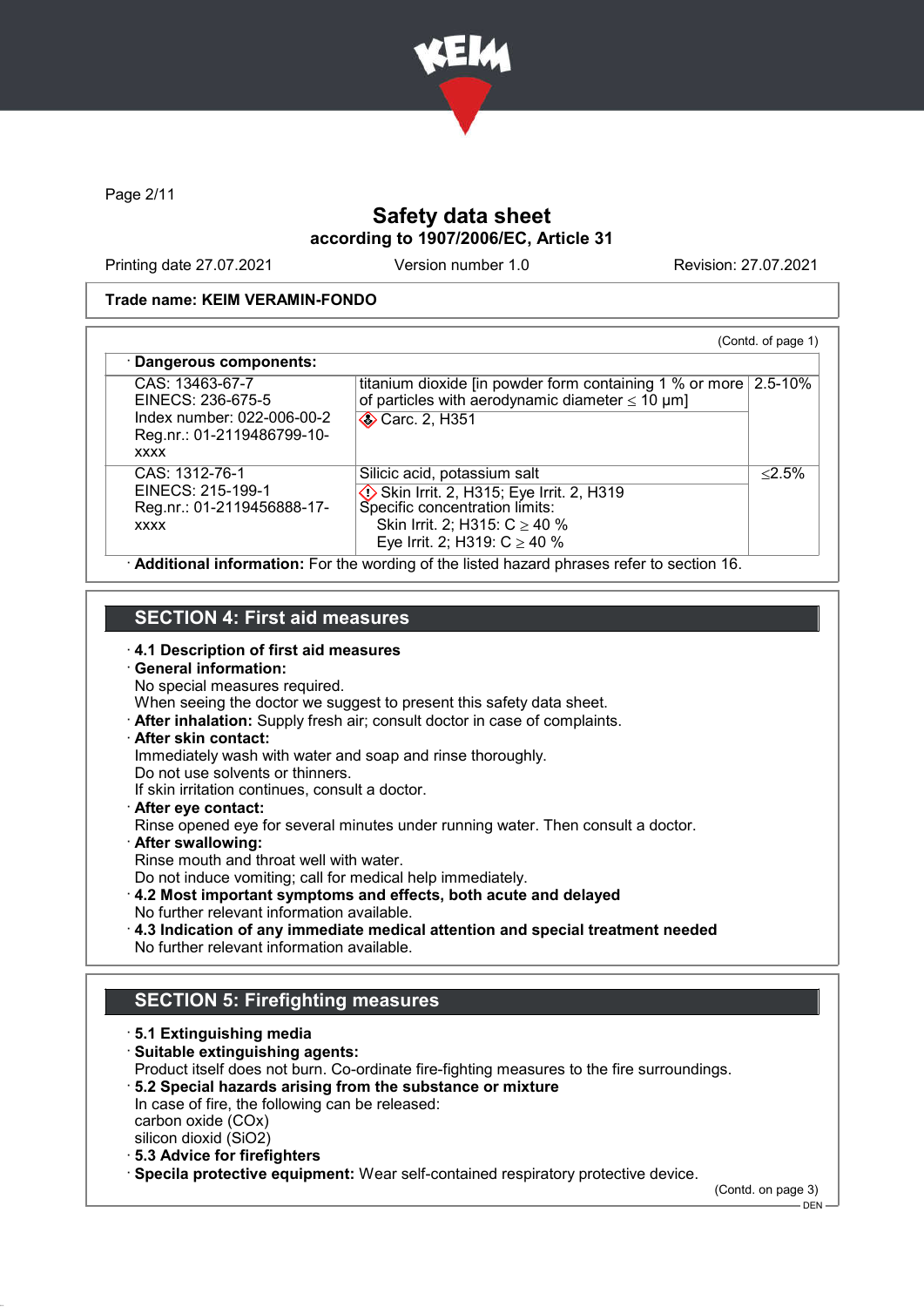

Page 2/11

# Safety data sheet according to 1907/2006/EC, Article 31

Printing date 27.07.2021 Version number 1.0 Revision: 27.07.2021

## Trade name: KEIM VERAMIN-FONDO

| CAS: 13463-67-7            | titanium dioxide [in powder form containing 1 % or more 2.5-10% |           |
|----------------------------|-----------------------------------------------------------------|-----------|
| EINECS: 236-675-5          | of particles with aerodynamic diameter $\leq 10 \mu m$ ]        |           |
| Index number: 022-006-00-2 | <b>◆ Carc. 2, H351</b>                                          |           |
| Reg.nr.: 01-2119486799-10- |                                                                 |           |
| <b>XXXX</b>                |                                                                 |           |
|                            |                                                                 |           |
| CAS: 1312-76-1             | Silicic acid, potassium salt                                    | $< 2.5\%$ |
| EINECS: 215-199-1          | Skin Irrit. 2, H315; Eye Irrit. 2, H319                         |           |
| Reg.nr.: 01-2119456888-17- | Specific concentration limits:                                  |           |
| <b>XXXX</b>                | Skin Irrit. 2; H315: $C \ge 40$ %                               |           |
|                            | Eye Irrit. 2; H319: $C \ge 40$ %                                |           |

# SECTION 4: First aid measures

- 
- · 4.1 Description of first aid measures · General information:
- No special measures required.
- When seeing the doctor we suggest to present this safety data sheet.
- · After inhalation: Supply fresh air; consult doctor in case of complaints.
- · After skin contact:
- Immediately wash with water and soap and rinse thoroughly.
- Do not use solvents or thinners.
- If skin irritation continues, consult a doctor.
- · After eye contact:
- Rinse opened eye for several minutes under running water. Then consult a doctor.
- · After swallowing:
- Rinse mouth and throat well with water.
- Do not induce vomiting; call for medical help immediately.
- · 4.2 Most important symptoms and effects, both acute and delayed No further relevant information available.
- · 4.3 Indication of any immediate medical attention and special treatment needed No further relevant information available.

# SECTION 5: Firefighting measures

· 5.1 Extinguishing media · Suitable extinguishing agents: Product itself does not burn. Co-ordinate fire-fighting measures to the fire surroundings. · 5.2 Special hazards arising from the substance or mixture In case of fire, the following can be released: carbon oxide (COx) silicon dioxid (SiO2) · 5.3 Advice for firefighters · Specila protective equipment: Wear self-contained respiratory protective device.

(Contd. on page 3)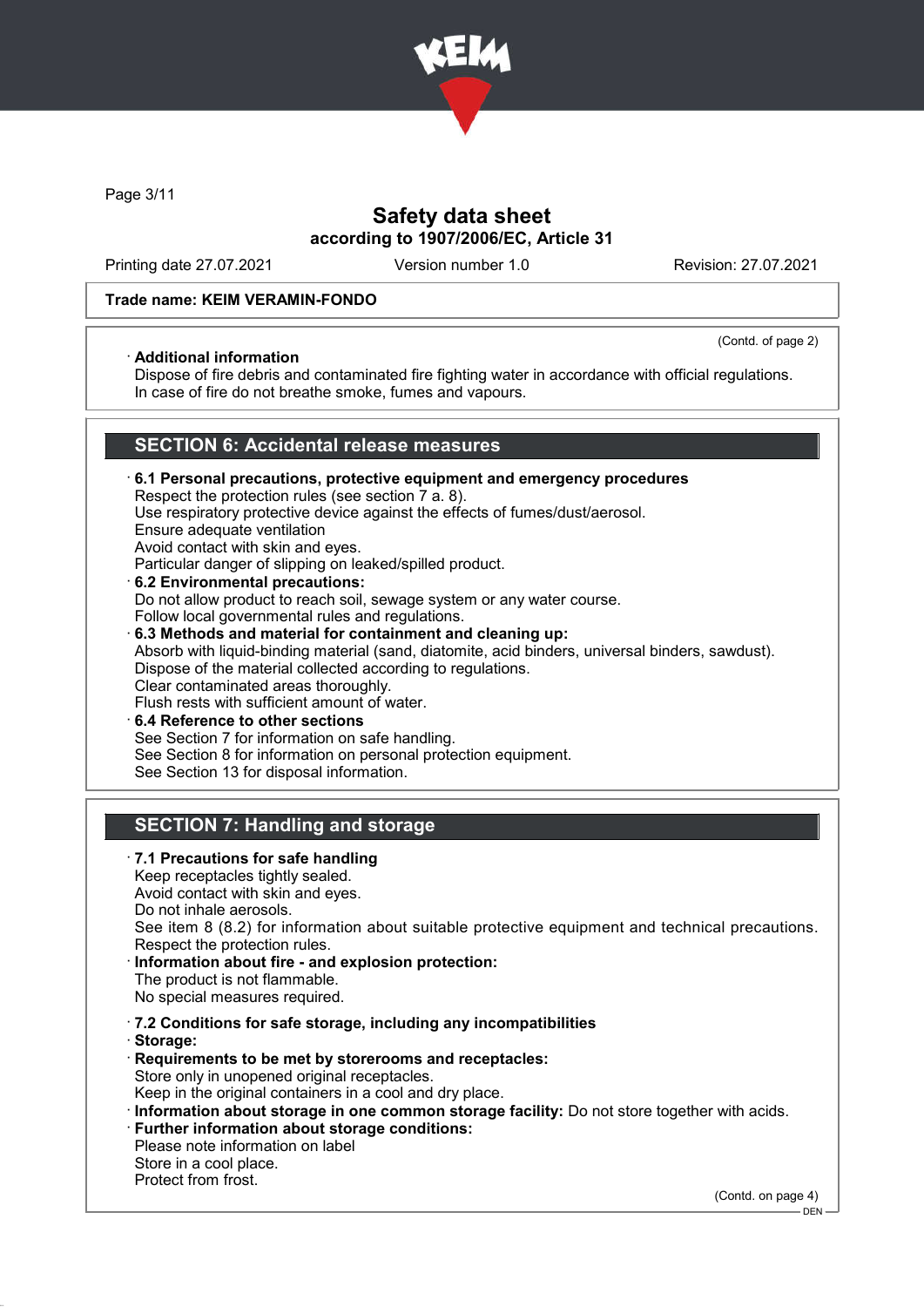

Page 3/11

# Safety data sheet according to 1907/2006/EC, Article 31

Printing date 27.07.2021 Version number 1.0 Revision: 27.07.2021

## Trade name: KEIM VERAMIN-FONDO

## · Additional information

(Contd. of page 2)

Dispose of fire debris and contaminated fire fighting water in accordance with official regulations. In case of fire do not breathe smoke, fumes and vapours.

## SECTION 6: Accidental release measures

- · 6.1 Personal precautions, protective equipment and emergency procedures Respect the protection rules (see section 7 a. 8). Use respiratory protective device against the effects of fumes/dust/aerosol. Ensure adequate ventilation Avoid contact with skin and eyes. Particular danger of slipping on leaked/spilled product. · 6.2 Environmental precautions: Do not allow product to reach soil, sewage system or any water course. Follow local governmental rules and regulations. · 6.3 Methods and material for containment and cleaning up: Absorb with liquid-binding material (sand, diatomite, acid binders, universal binders, sawdust). Dispose of the material collected according to regulations. Clear contaminated areas thoroughly. Flush rests with sufficient amount of water.
- 6.4 Reference to other sections See Section 7 for information on safe handling. See Section 8 for information on personal protection equipment. See Section 13 for disposal information.

# SECTION 7: Handling and storage

· 7.1 Precautions for safe handling Keep receptacles tightly sealed. Avoid contact with skin and eyes. Do not inhale aerosols. See item 8 (8.2) for information about suitable protective equipment and technical precautions. Respect the protection rules. Information about fire - and explosion protection: The product is not flammable. No special measures required. · 7.2 Conditions for safe storage, including any incompatibilities · Storage: · Requirements to be met by storerooms and receptacles: Store only in unopened original receptacles. Keep in the original containers in a cool and dry place. · Information about storage in one common storage facility: Do not store together with acids. · Further information about storage conditions: Please note information on label Store in a cool place. Protect from frost.

(Contd. on page 4)

<sup>–</sup> DEN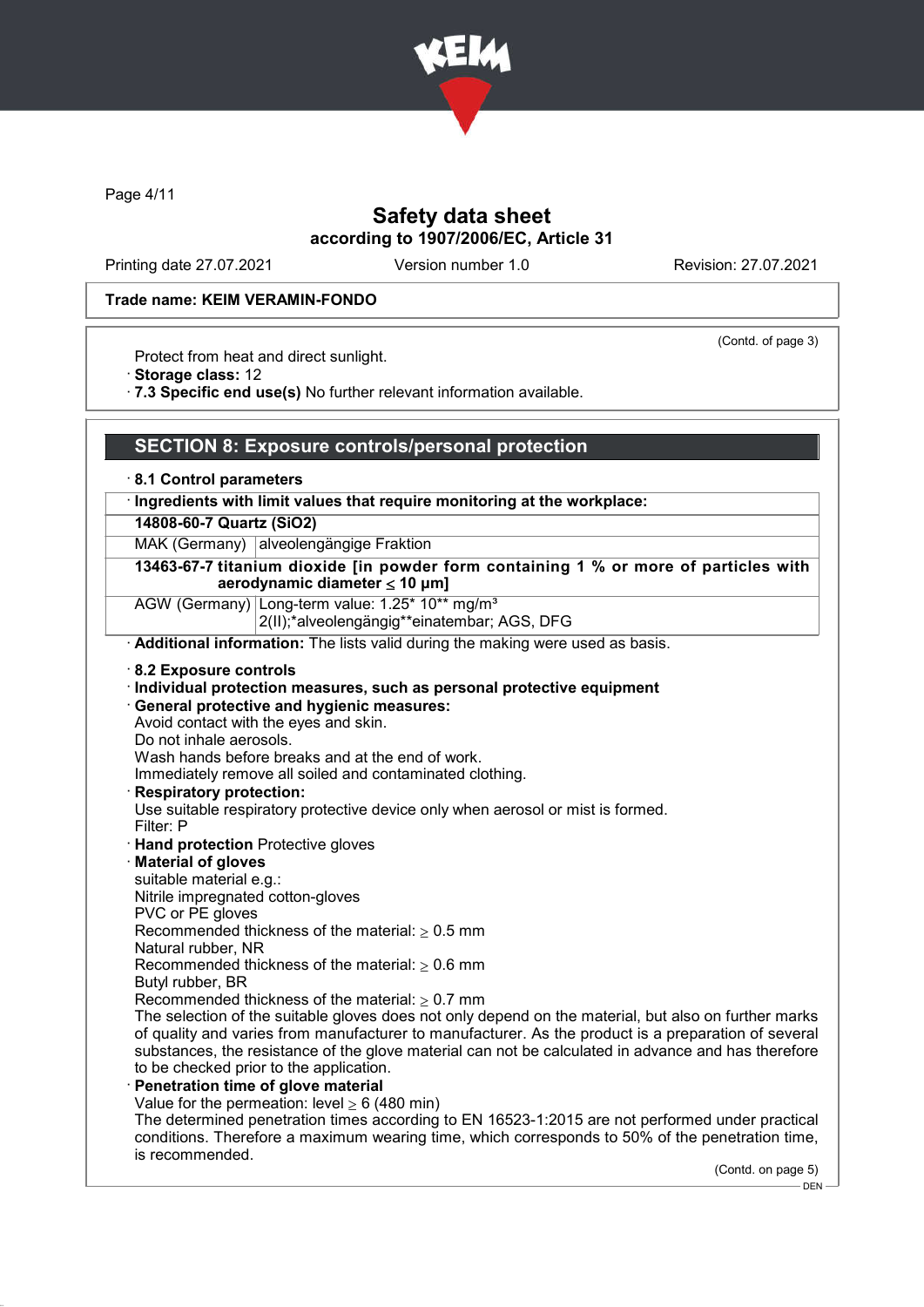

Page 4/11

# Safety data sheet according to 1907/2006/EC, Article 31

Printing date 27.07.2021 Version number 1.0 Revision: 27.07.2021

(Contd. of page 3)

#### Trade name: KEIM VERAMIN-FONDO

Protect from heat and direct sunlight.

· Storage class: 12

· 7.3 Specific end use(s) No further relevant information available.

## SECTION 8: Exposure controls/personal protection

· 8.1 Control parameters

## · Ingredients with limit values that require monitoring at the workplace:

#### 14808-60-7 Quartz (SiO2)

MAK (Germany) alveolengängige Fraktion

13463-67-7 titanium dioxide [in powder form containing 1 % or more of particles with aerodynamic diameter ≤ 10 μm]

AGW (Germany) Long-term value: 1.25\* 10\*\* mg/m<sup>3</sup>

2(II);\*alveolengängig\*\*einatembar; AGS, DFG

· Additional information: The lists valid during the making were used as basis.

- · 8.2 Exposure controls
- · Individual protection measures, such as personal protective equipment
- · General protective and hygienic measures:
- Avoid contact with the eyes and skin.
- Do not inhale aerosols.

Wash hands before breaks and at the end of work.

Immediately remove all soiled and contaminated clothing.

· Respiratory protection:

Use suitable respiratory protective device only when aerosol or mist is formed.

- Filter: P
- · Hand protection Protective gloves
- · Material of gloves
- suitable material e.g.:

Nitrile impregnated cotton-gloves

PVC or PE gloves

Recommended thickness of the material:  $\geq 0.5$  mm

Natural rubber, NR

Recommended thickness of the material:  $> 0.6$  mm

- Butyl rubber, BR
- Recommended thickness of the material:  $\geq 0.7$  mm

The selection of the suitable gloves does not only depend on the material, but also on further marks of quality and varies from manufacturer to manufacturer. As the product is a preparation of several substances, the resistance of the glove material can not be calculated in advance and has therefore to be checked prior to the application.

- Penetration time of glove material
	- Value for the permeation: level  $> 6$  (480 min)

The determined penetration times according to EN 16523-1:2015 are not performed under practical conditions. Therefore a maximum wearing time, which corresponds to 50% of the penetration time, is recommended.

(Contd. on page 5)

 $-$  DEN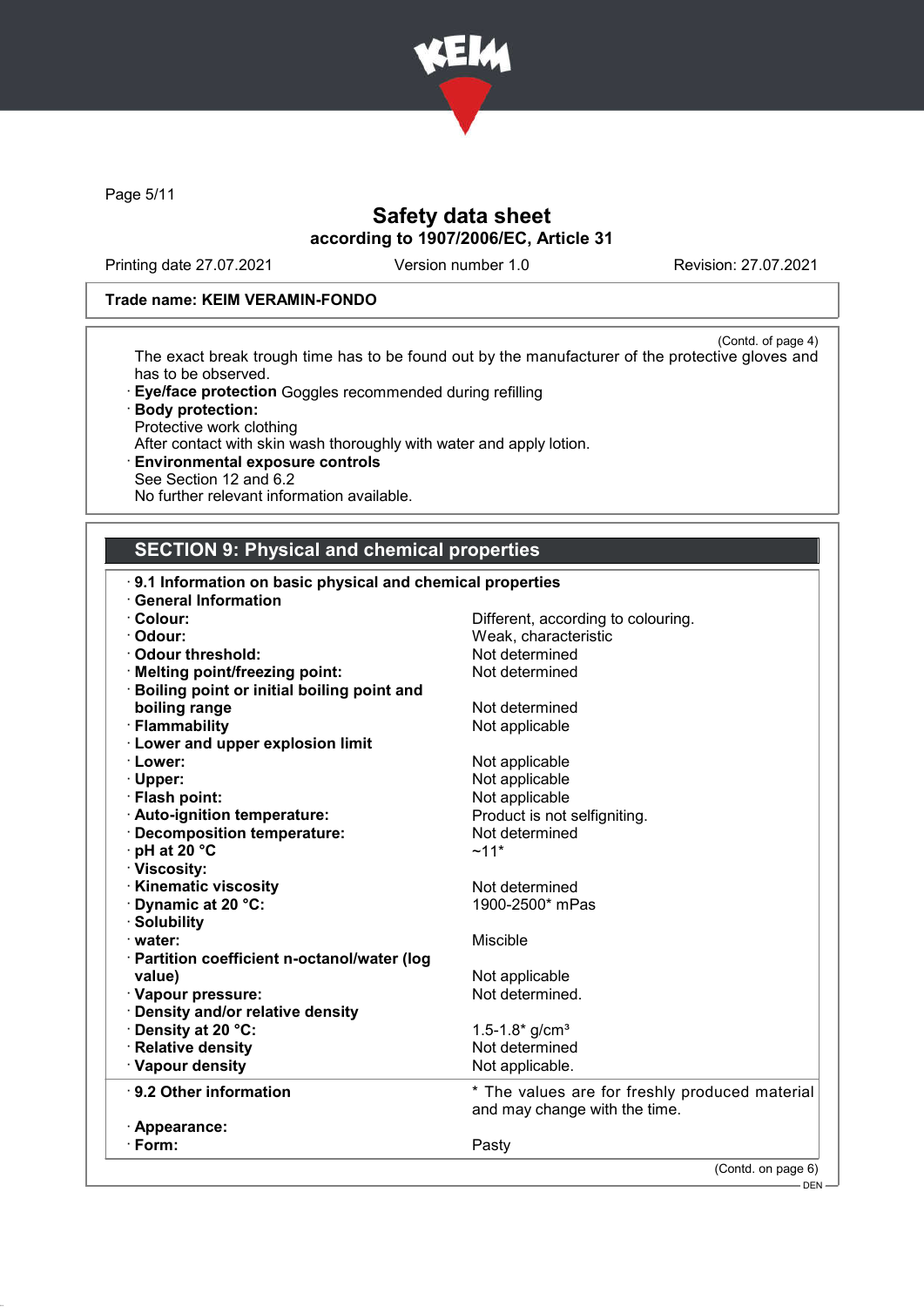

Page 5/11

# Safety data sheet according to 1907/2006/EC, Article 31

Printing date 27.07.2021 Version number 1.0 Revision: 27.07.2021

## Trade name: KEIM VERAMIN-FONDO

(Contd. of page 4) The exact break trough time has to be found out by the manufacturer of the protective gloves and has to be observed.

- · Eye/face protection Goggles recommended during refilling
- · Body protection: Protective work clothing After contact with skin wash thoroughly with water and apply lotion.
- · Environmental exposure controls See Section 12 and 6.2 No further relevant information available.

# SECTION 9: Physical and chemical properties

| 9.1 Information on basic physical and chemical properties |                                                |
|-----------------------------------------------------------|------------------------------------------------|
| <b>General Information</b>                                |                                                |
| · Colour:                                                 | Different, according to colouring.             |
| · Odour:                                                  | Weak, characteristic                           |
| Odour threshold:                                          | Not determined                                 |
| · Melting point/freezing point:                           | Not determined                                 |
| <b>Boiling point or initial boiling point and</b>         |                                                |
| boiling range                                             | Not determined                                 |
| · Flammability                                            | Not applicable                                 |
| <b>Lower and upper explosion limit</b>                    |                                                |
| · Lower:                                                  | Not applicable                                 |
| · Upper:                                                  | Not applicable                                 |
| · Flash point:                                            | Not applicable                                 |
| · Auto-ignition temperature:                              | Product is not selfigniting.                   |
| · Decomposition temperature:                              | Not determined                                 |
| · pH at 20 °C                                             | $~11*$                                         |
| · Viscosity:                                              |                                                |
| <b>Kinematic viscosity</b>                                | Not determined                                 |
| Dynamic at 20 °C:                                         | 1900-2500* mPas                                |
| · Solubility                                              |                                                |
| · water:                                                  | Miscible                                       |
| · Partition coefficient n-octanol/water (log              |                                                |
| value)                                                    | Not applicable                                 |
| · Vapour pressure:                                        | Not determined.                                |
| · Density and/or relative density                         |                                                |
| <b>· Density at 20 °C:</b>                                | 1.5-1.8* $g/cm3$                               |
| · Relative density                                        | Not determined                                 |
| · Vapour density                                          | Not applicable.                                |
|                                                           |                                                |
| $\cdot$ 9.2 Other information                             | * The values are for freshly produced material |
|                                                           | and may change with the time.                  |
| · Appearance:                                             |                                                |
| $\cdot$ Form:                                             | Pasty                                          |
|                                                           | (Contd. on page 6)                             |
|                                                           | DEN                                            |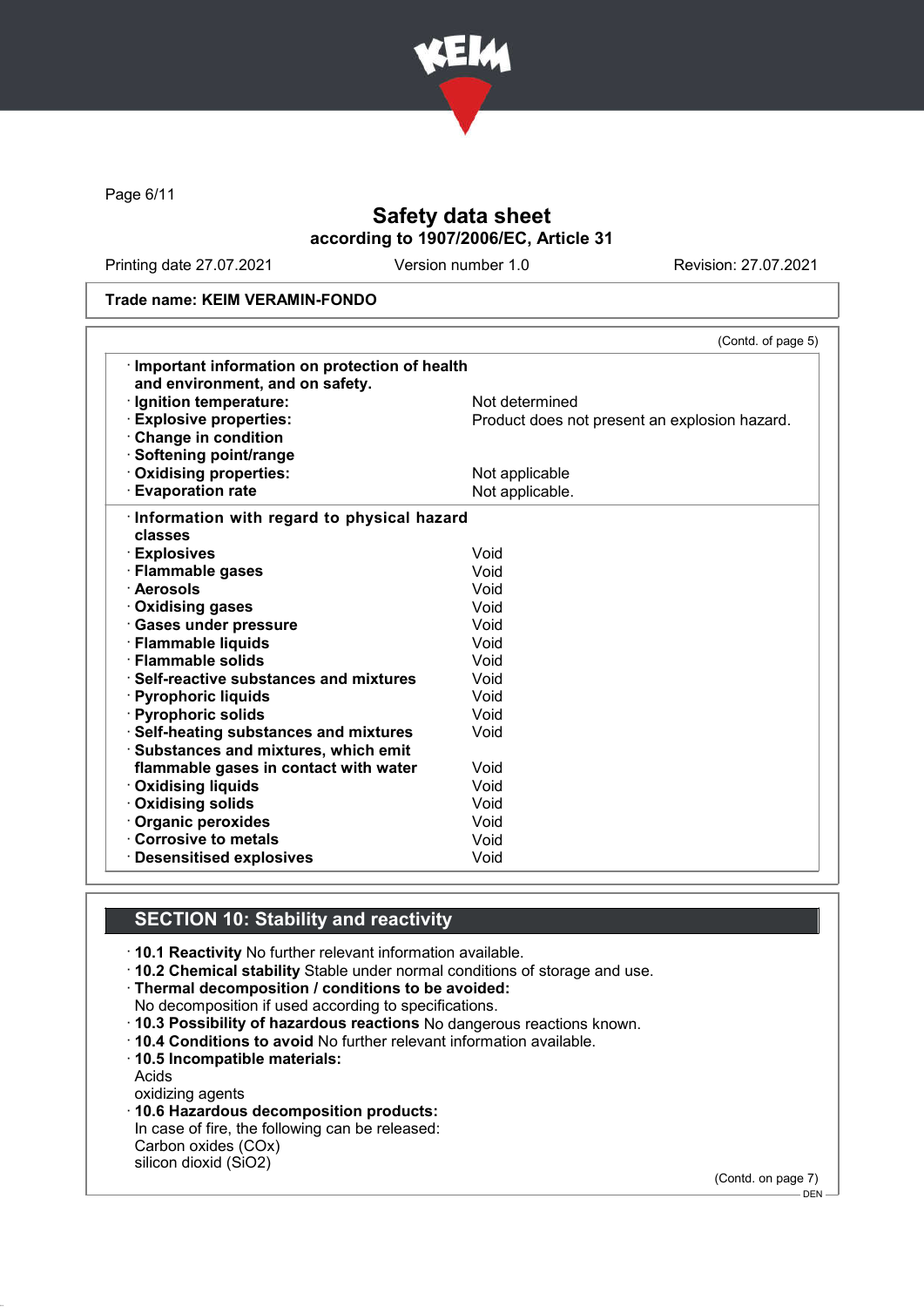

Page 6/11

# Safety data sheet according to 1907/2006/EC, Article 31

Printing date 27.07.2021 Version number 1.0 Revision: 27.07.2021

#### Trade name: KEIM VERAMIN-FONDO

|                                               | (Contd. of page 5)                            |
|-----------------------------------------------|-----------------------------------------------|
| Important information on protection of health |                                               |
| and environment, and on safety.               |                                               |
| · Ignition temperature:                       | Not determined                                |
| <b>Explosive properties:</b>                  | Product does not present an explosion hazard. |
| Change in condition                           |                                               |
| · Softening point/range                       |                                               |
| Oxidising properties:                         | Not applicable                                |
| <b>Evaporation rate</b>                       | Not applicable.                               |
| Information with regard to physical hazard    |                                               |
| classes                                       |                                               |
| · Explosives                                  | Void                                          |
| · Flammable gases                             | Void                                          |
| · Aerosols                                    | Void                                          |
| · Oxidising gases                             | Void                                          |
| · Gases under pressure                        | Void                                          |
| · Flammable liquids                           | Void                                          |
| · Flammable solids                            | Void                                          |
| · Self-reactive substances and mixtures       | Void                                          |
| · Pyrophoric liquids                          | Void                                          |
| · Pyrophoric solids                           | Void                                          |
| · Self-heating substances and mixtures        | Void                                          |
| Substances and mixtures, which emit           |                                               |
| flammable gases in contact with water         | Void                                          |
| · Oxidising liquids                           | Void                                          |
| · Oxidising solids                            | Void                                          |
| Organic peroxides                             | Void                                          |
| Corrosive to metals                           | Void                                          |
| <b>Desensitised explosives</b>                | Void                                          |

## SECTION 10: Stability and reactivity

· 10.1 Reactivity No further relevant information available.

· 10.2 Chemical stability Stable under normal conditions of storage and use.

· Thermal decomposition / conditions to be avoided:

No decomposition if used according to specifications.

- · 10.3 Possibility of hazardous reactions No dangerous reactions known.
- · 10.4 Conditions to avoid No further relevant information available.
- · 10.5 Incompatible materials:

Acids

oxidizing agents

· 10.6 Hazardous decomposition products:

In case of fire, the following can be released: Carbon oxides (COx)

silicon dioxid (SiO2)

(Contd. on page 7)

<sup>–</sup> DEN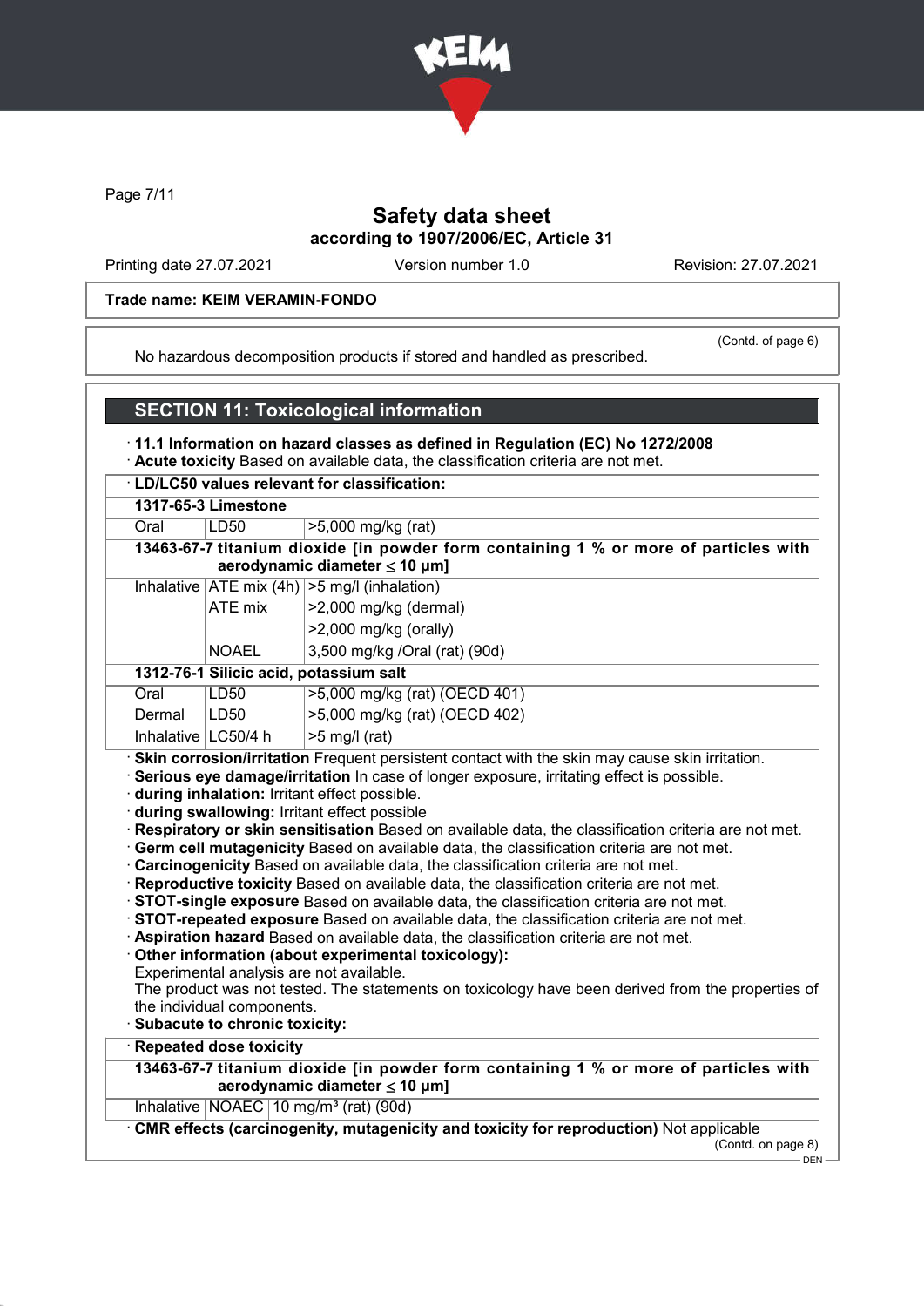

Page 7/11

# Safety data sheet according to 1907/2006/EC, Article 31

Printing date 27.07.2021 Version number 1.0 Revision: 27.07.2021

## Trade name: KEIM VERAMIN-FONDO

(Contd. of page 6)

No hazardous decomposition products if stored and handled as prescribed.

## SECTION 11: Toxicological information

· 11.1 Information on hazard classes as defined in Regulation (EC) No 1272/2008

· Acute toxicity Based on available data, the classification criteria are not met.

## · LD/LC50 values relevant for classification:

| 1317-65-3 Limestone |  |
|---------------------|--|
|---------------------|--|

| LD50<br>Oral | >5,000 mg/kg (rat) |
|--------------|--------------------|
|--------------|--------------------|

| 13463-67-7 titanium dioxide [in powder form containing 1 % or more of particles with |  |
|--------------------------------------------------------------------------------------|--|
| aerodynamic diameter $\leq 10 \mu m$ ]                                               |  |

|                | Inhalative $ ATE \text{ mix } (4h)  > 5 \text{ mg/l } (inhalation)$ |
|----------------|---------------------------------------------------------------------|
| <b>ATE</b> mix | $ >2,000$ mg/kg (dermal)                                            |
|                | $ >2,000$ mg/kg (orally)                                            |
| <b>NOAEL</b>   | 3,500 mg/kg /Oral (rat) (90d)                                       |

# 1312-76-1 Silicic acid, potassium salt<br>Oral UD50 125.000 malka

| Oral                  | LD50 | >5,000 mg/kg (rat) (OECD 401) |
|-----------------------|------|-------------------------------|
| Dermal                | LD50 | >5,000 mg/kg (rat) (OECD 402) |
| Inhalative   LC50/4 h |      | $\mid$ >5 mg/l (rat)          |

· Skin corrosion/irritation Frequent persistent contact with the skin may cause skin irritation.

· Serious eye damage/irritation In case of longer exposure, irritating effect is possible.

- · during inhalation: Irritant effect possible.
- · during swallowing: Irritant effect possible
- · Respiratory or skin sensitisation Based on available data, the classification criteria are not met.
- · Germ cell mutagenicity Based on available data, the classification criteria are not met.
- · Carcinogenicity Based on available data, the classification criteria are not met.
- · Reproductive toxicity Based on available data, the classification criteria are not met.
- · STOT-single exposure Based on available data, the classification criteria are not met.
- · STOT-repeated exposure Based on available data, the classification criteria are not met.
- · Aspiration hazard Based on available data, the classification criteria are not met.
- · Other information (about experimental toxicology):
- Experimental analysis are not available.
- The product was not tested. The statements on toxicology have been derived from the properties of the individual components.
- Subacute to chronic toxicity:
- **Repeated dose toxicity**

13463-67-7 titanium dioxide [in powder form containing 1 % or more of particles with aerodynamic diameter  $\leq 10 \mu m$ ]

Inhalative NOAEC 10 mg/m<sup>3</sup> (rat) (90d)

· CMR effects (carcinogenity, mutagenicity and toxicity for reproduction) Not applicable

(Contd. on page 8)

 $-$  DEN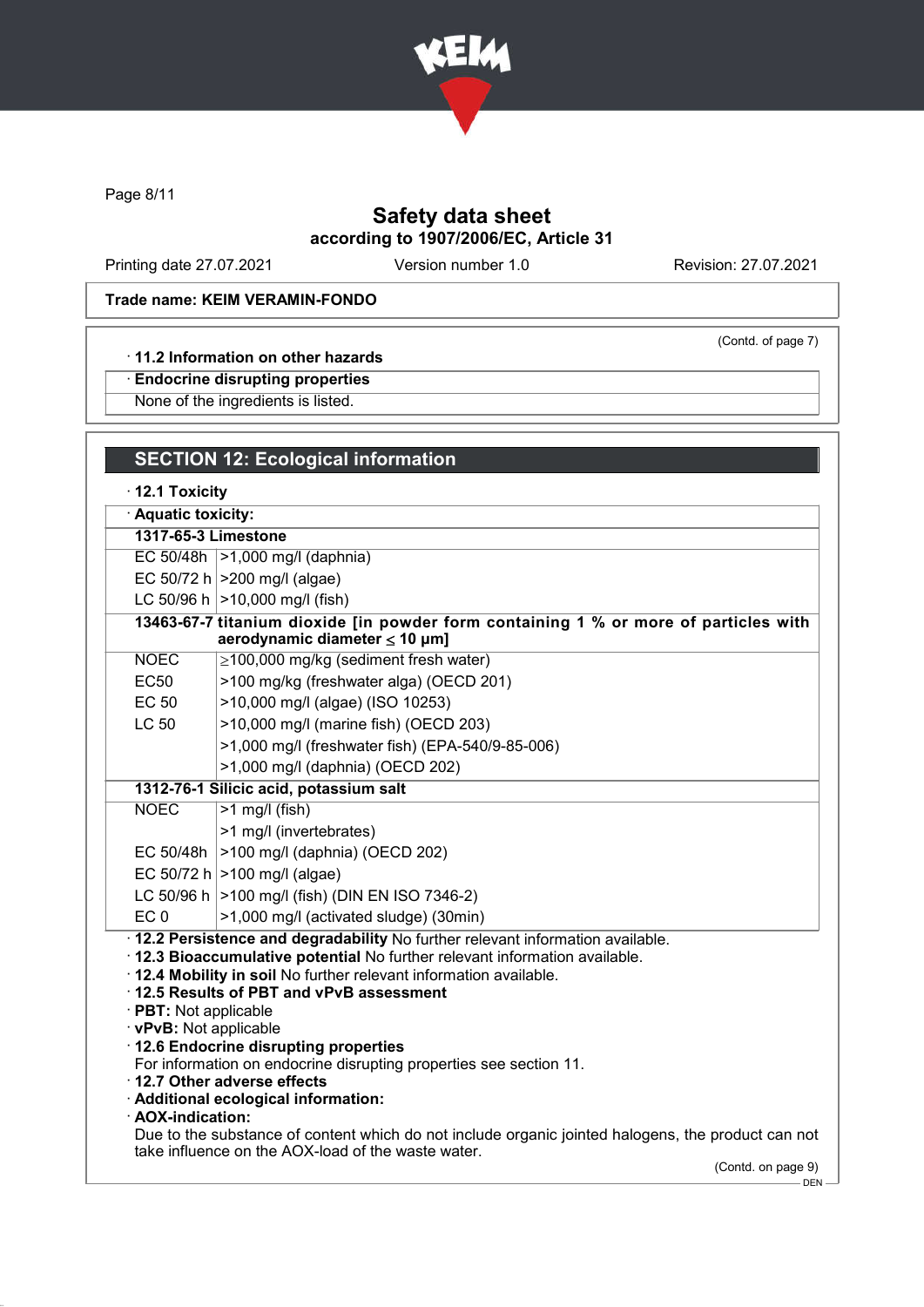

Page 8/11

# Safety data sheet according to 1907/2006/EC, Article 31

Printing date 27.07.2021 Version number 1.0 Revision: 27.07.2021

(Contd. of page 7)

## Trade name: KEIM VERAMIN-FONDO

## · 11.2 Information on other hazards

· Endocrine disrupting properties

None of the ingredients is listed.

# SECTION 12: Ecological information

· 12.1 Toxicity

· Aquatic toxicity:

1317-65-3 Limestone

EC 50/48h >1,000 mg/l (daphnia)

EC 50/72 h  $| > 200$  mg/l (algae)

LC 50/96 h  $|>10,000$  mg/l (fish)

|             | 13463-67-7 titanium dioxide [in powder form containing 1 % or more of particles with<br>aerodynamic diameter $\leq 10 \mu m$ ] |
|-------------|--------------------------------------------------------------------------------------------------------------------------------|
| <b>NOEC</b> | ≥100,000 mg/kg (sediment fresh water)                                                                                          |

- EC50 >100 mg/kg (freshwater alga) (OECD 201)
- EC 50 >10,000 mg/l (algae) (ISO 10253)
	- LC 50 >10,000 mg/l (marine fish) (OECD 203)
		- >1,000 mg/l (freshwater fish) (EPA-540/9-85-006)
		- >1,000 mg/l (daphnia) (OECD 202)

# 1312-76-1 Silicic acid, potassium salt

NOEC >1 mg/l (fish)

- >1 mg/l (invertebrates)
- EC 50/48h >100 mg/l (daphnia) (OECD 202)
- EC 50/72 h  $|>100$  mg/l (algae)
- LC 50/96 h  $>100$  mg/l (fish) (DIN EN ISO 7346-2)
- EC 0  $|>1,000$  mg/l (activated sludge) (30min)

· 12.2 Persistence and degradability No further relevant information available.

- · 12.3 Bioaccumulative potential No further relevant information available.
- · 12.4 Mobility in soil No further relevant information available.
- · 12.5 Results of PBT and vPvB assessment
- · PBT: Not applicable
- · vPvB: Not applicable
- · 12.6 Endocrine disrupting properties
- For information on endocrine disrupting properties see section 11.
- · 12.7 Other adverse effects
- · Additional ecological information:
- · AOX-indication:

Due to the substance of content which do not include organic jointed halogens, the product can not take influence on the AOX-load of the waste water.

(Contd. on page 9)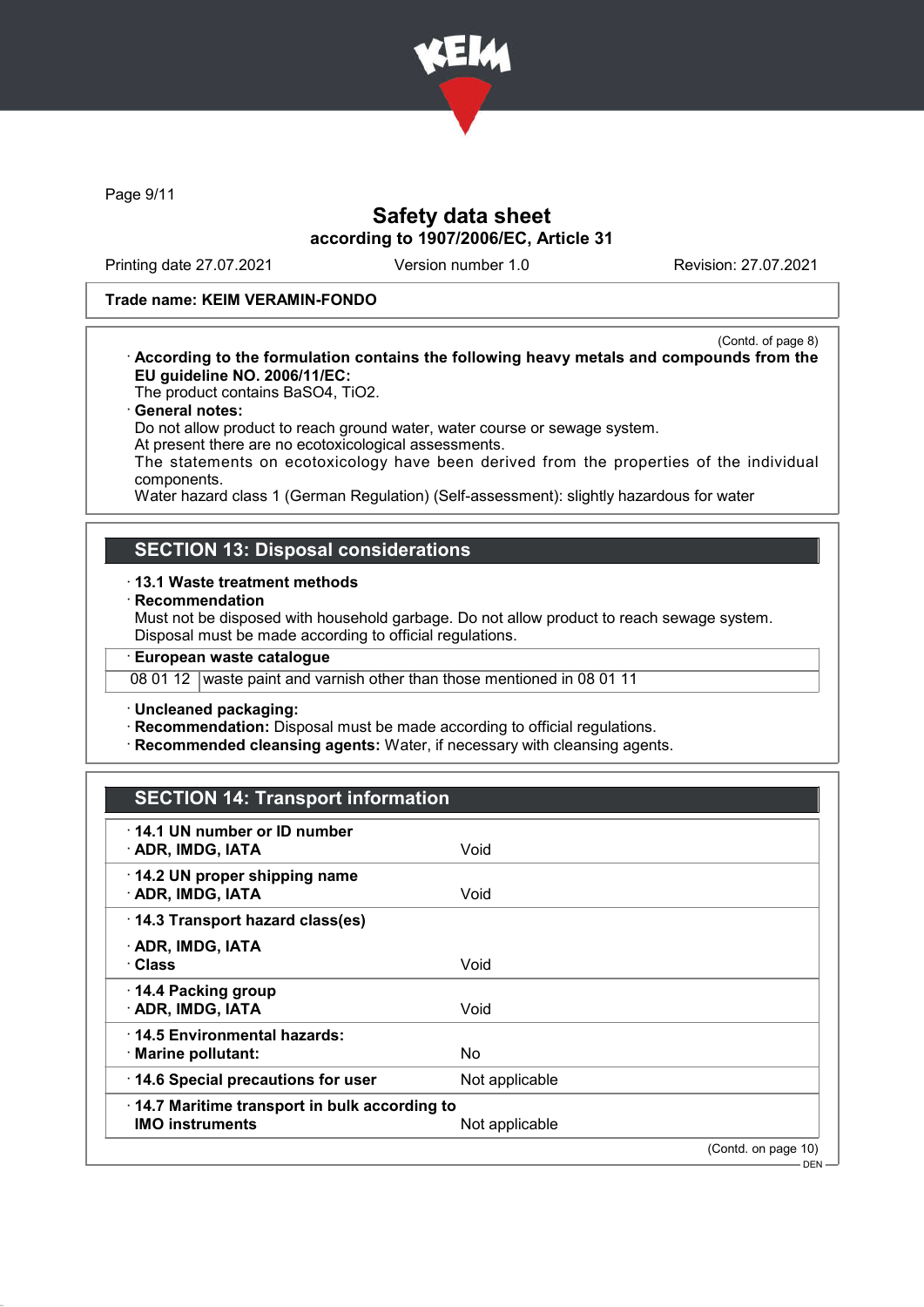

Page 9/11

# Safety data sheet according to 1907/2006/EC, Article 31

Printing date 27.07.2021 Version number 1.0 Revision: 27.07.2021

## Trade name: KEIM VERAMIN-FONDO

(Contd. of page 8) · According to the formulation contains the following heavy metals and compounds from the EU guideline NO. 2006/11/EC:

The product contains BaSO4, TiO2.

#### · General notes:

Do not allow product to reach ground water, water course or sewage system.

At present there are no ecotoxicological assessments.

The statements on ecotoxicology have been derived from the properties of the individual components.

Water hazard class 1 (German Regulation) (Self-assessment): slightly hazardous for water

## SECTION 13: Disposal considerations

#### · 13.1 Waste treatment methods

## **Recommendation**

Must not be disposed with household garbage. Do not allow product to reach sewage system. Disposal must be made according to official regulations.

· European waste catalogue

08 01 12 waste paint and varnish other than those mentioned in 08 01 11

· Uncleaned packaging:

· Recommendation: Disposal must be made according to official regulations.

· Recommended cleansing agents: Water, if necessary with cleansing agents.

# SECTION 14: Transport information

| ⋅14.1 UN number or ID number<br>· ADR, IMDG, IATA                              | Void           |                                |
|--------------------------------------------------------------------------------|----------------|--------------------------------|
| 14.2 UN proper shipping name<br>· ADR, IMDG, IATA                              | Void           |                                |
| 14.3 Transport hazard class(es)                                                |                |                                |
| · ADR, IMDG, IATA<br>· Class                                                   | Void           |                                |
| 14.4 Packing group<br>· ADR, IMDG, IATA                                        | Void           |                                |
| $\cdot$ 14.5 Environmental hazards:<br>$\cdot$ Marine pollutant:               | No.            |                                |
| 14.6 Special precautions for user                                              | Not applicable |                                |
| $\cdot$ 14.7 Maritime transport in bulk according to<br><b>IMO instruments</b> | Not applicable |                                |
|                                                                                |                | (Contd. on page 10)<br>$DEN -$ |
|                                                                                |                |                                |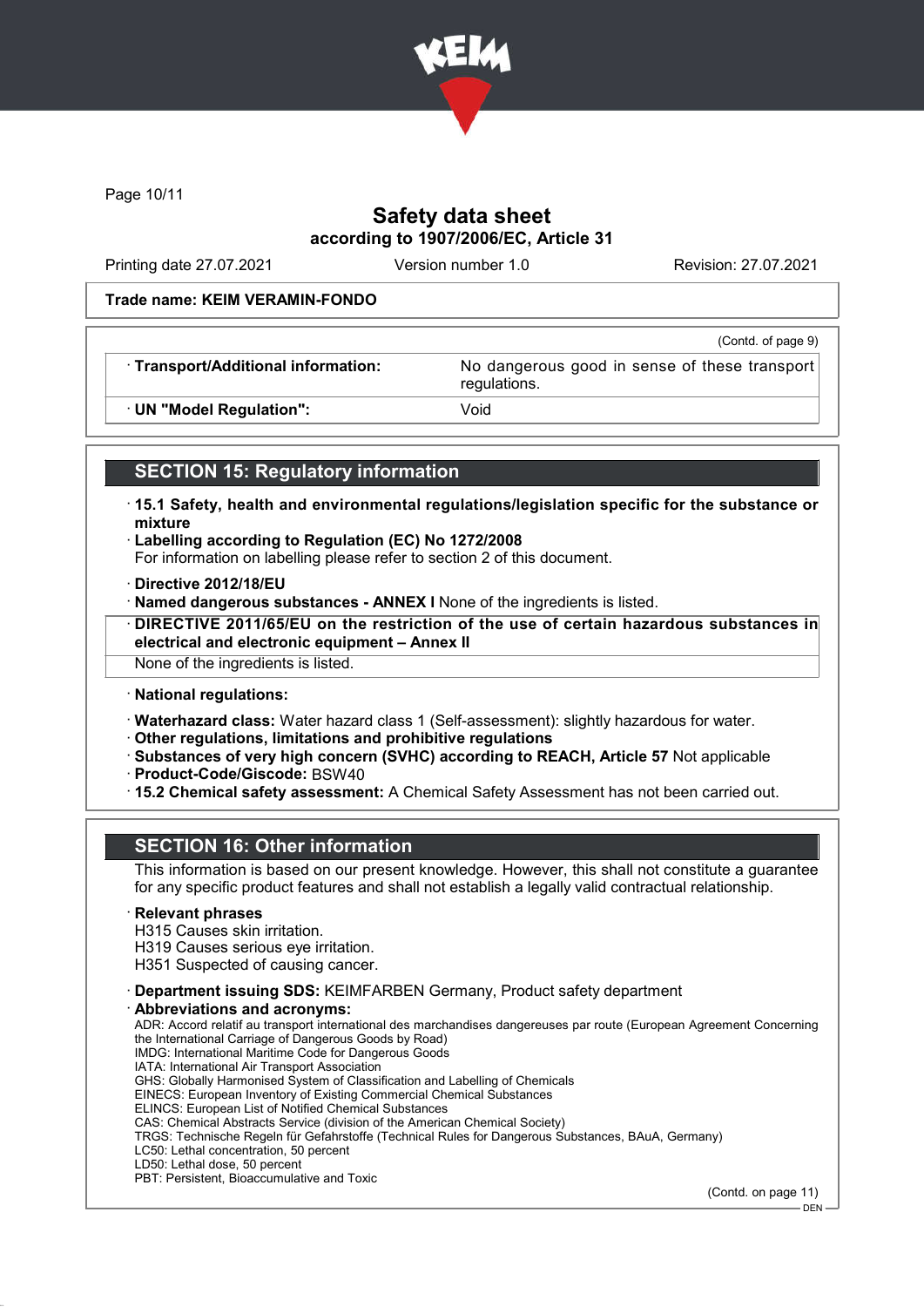

Page 10/11

# Safety data sheet according to 1907/2006/EC, Article 31

Printing date 27.07.2021 Version number 1.0 Revision: 27.07.2021

#### Trade name: KEIM VERAMIN-FONDO

|                                     | (Contd. of page 9)                                            |
|-------------------------------------|---------------------------------------------------------------|
| · Transport/Additional information: | No dangerous good in sense of these transport<br>regulations. |
| · UN "Model Regulation":            | Void                                                          |

# SECTION 15: Regulatory information

- · 15.1 Safety, health and environmental regulations/legislation specific for the substance or mixture
- · Labelling according to Regulation (EC) No 1272/2008
- For information on labelling please refer to section 2 of this document.
- · Directive 2012/18/EU
- · Named dangerous substances ANNEX I None of the ingredients is listed.
- · DIRECTIVE 2011/65/EU on the restriction of the use of certain hazardous substances in electrical and electronic equipment – Annex II

None of the ingredients is listed.

· National regulations:

· Waterhazard class: Water hazard class 1 (Self-assessment): slightly hazardous for water.

- · Other regulations, limitations and prohibitive regulations
- · Substances of very high concern (SVHC) according to REACH, Article 57 Not applicable · Product-Code/Giscode: BSW40
- · 15.2 Chemical safety assessment: A Chemical Safety Assessment has not been carried out.

# SECTION 16: Other information

This information is based on our present knowledge. However, this shall not constitute a guarantee for any specific product features and shall not establish a legally valid contractual relationship.

#### **Relevant phrases**

H315 Causes skin irritation.

H319 Causes serious eye irritation.

H351 Suspected of causing cancer.

- · Department issuing SDS: KEIMFARBEN Germany, Product safety department
- Abbreviations and acronyms: ADR: Accord relatif au transport international des marchandises dangereuses par route (European Agreement Concerning the International Carriage of Dangerous Goods by Road) IMDG: International Maritime Code for Dangerous Goods IATA: International Air Transport Association GHS: Globally Harmonised System of Classification and Labelling of Chemicals EINECS: European Inventory of Existing Commercial Chemical Substances ELINCS: European List of Notified Chemical Substances CAS: Chemical Abstracts Service (division of the American Chemical Society) TRGS: Technische Regeln für Gefahrstoffe (Technical Rules for Dangerous Substances, BAuA, Germany) LC50: Lethal concentration, 50 percent LD50: Lethal dose, 50 percent PBT: Persistent, Bioaccumulative and Toxic

(Contd. on page 11)